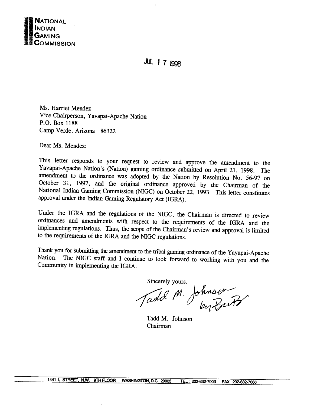

**JUL 1 7 1998** 

Ms. Harriet Mendez Vice Chairperson, Yavapai-Apache Nation P.O. Box 1188 Camp Verde, Arizona 86322

Dear Ms. Mendez:

This letter responds to your request to review and approve the amendment to the Yavapai-Apache Nation's (Nation) gaming ordinance submitted on April 21, 1998. The amendment to the ordinance was adopted by the Nation by Resolution No. 56-97 on October 31, 1997, and the original ordinance approved by the Chairman of the National Indian Gaming Commission (NIGC) on October 22, 1993. This letter constitutes approval under the Indian Gaming Regulatory Act (IGRA).

Under the IGRA and the regulations of the NIGC, the Chairman is directed to review ordinances and amendments with respect to the requirements of the IGRA and the implementing regulations. Thus, the scope of the Chairman's review and approval is limited to the requirements of the IGRA and the NIGC regulations.

Thank you for submitting the amendment to the tribal gaming ordinance of the Yavapai-Apache The NIGC staff and I continue to look forward to working with you and the Nation. Community in implementing the IGRA.

Sincerely yours,

Tadd M. Johnsen

Tadd M. Johnson Chairman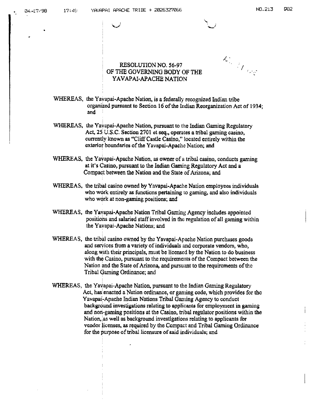**RESOLUTION NO. 56-97 / OF THE GOVERNUiG BODY OF THE / YAVAPAX-APACHE NATION**

**C-**

- **WHEREAS, the Yavapai-Apache Nation, is <sup>a</sup> federally recognized Indian tribe organized pursuant to Section 16 of the Indian Reorganization Act of 1934; and**
- **WHEREAS, the Yavapai-Apache Nation, pursuant to the Indian Gaining Regulatory Act, 25 U.S.C. Section 2701 et seq., operates <sup>a</sup> tribal gaming casino, currently lcnown as Cliff Castle Casino, located entirely within the exterior boundaries of the Yavapai-Apache Nation; and**
- **WHEREAS, the Yavapal-Apache Nation, as owner of <sup>a</sup> tribal casino, conducts gaming at its casino, pursuant to the Indian Gaming Regulatory Act and <sup>a</sup> Compact between the Nation and the State of Arizona; and**
- **WHEREAS, the tribal casino owned by Yavapai-Apache Nation employees individuals who work entirely as functions pertaining to gaming, and also individuals who work at non-gaming positions; and**
- **WHEREAS, the Yavapai-Apache Nation Tribal Gaining Agency includes appointed positions and salaried staff involved in the regulation of all gaming within the Ya~apai-Apache Nations; and**
- **WHEREAS, the tribal casino owned by the Yavapai-Apache Nation purchases goods and services from a variety of individuals and corporate vendors, who, along with their principals, must be licensed by the Nation to do business with tho Casino, pursuant to the requirements of the Compact between the Nation and the State of Arizona, and pursuant to the requirements of the Tribal Gaining Ordinance; and**
- **WHEREAS, the Yavapai-Apache Nation, pursuant to the Indian Gaming Regulatory Act, has~ enacted a Nation ordinance, or gaming code, which provides for thc Yavapai-Apaehe Indian Nations Tribal Gaming Agency to conduct baekgroi.ind investigations relating to applicants for employment in gaming and nori-gaming positions at the Casino, tribal regulator positions within the Nation, as well as background investigations relating to applicants for vendor licenses, as required by the Compact and Tribal Gaming Ordinance for the purpose of tribal licensure of said individuals; and**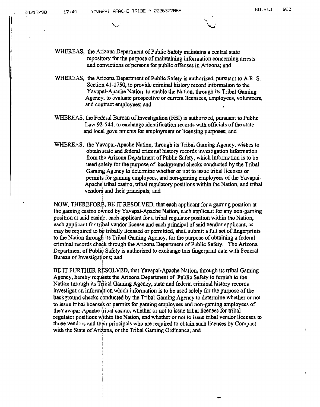- **WHEREAS, the Arizona Department of Public Safety maintains a central state repository for the purpose of maintaining information concerning arrests and convictions ofpersons for public offenses in Arizona; and**
- **WHEREAS, the Arizona Department of Public Safety is authorized, pursuant to A.R. S. Section 41-1750, to provide criminal history record information to the Yavapai-Apache Nation to enable the Nation, through its Tribal Gaming Agency, to evaluate prospective or current licensees, employees, volunteers, and contract employees; and**
- **WHEREAS, the Federal Bureau of investigation (FBI) is authorized, pursuant to Public Law 92-544, to exchange identification records with officials of the stale and local governments for employment or licensing purposes; and**
- **WHEREAS, the Yavapai-Apache Nation, through its Tribal Gaming Agency, wishes to obtain state and federal criminal history records investigation Information from the Arizona Department of Public Safety, which information is to be**  $u$  **and solely** for the purpose of **background** checks conducted by the Tribal **Gaming Agency to determine whether or not to issue tribal licenses or permits for gaming employees, and non-gaming employees of the Yavapai Apache tribal casino, tribal regulatory positions within the Nation, and tribal vendors and their principals; and**

**NOW, THEREFORE, BE IT RESOLVED, that each applicant for <sup>a</sup> gaming position at the gaming casino owned by Yavapai-Apache Nation, each applicant for any non-gaming position at said casino, each applicant for <sup>a</sup> tribal regulator position within the Nation, each applicant for tribal vendor license and each principal of said vendor applicant, as may be required to be tribally licensed or permitted, shall submit <sup>a</sup> full set of fingerprints to the Nation througl~ its Tribal Gaming Agency, for the purpose of obtaining a federal criminal records cheàk through the Arizona Department of Public Safety. The Arizona Department of Public Safety is authorized to exchange this fingerprint data with Federal Bureau of Investigations; and**

**BE IT FURTHER RESOLVED, that Yavapai.Apache Nation, through its tribal Gaming Agency, hereby requests the Arizona Department of Public Safety to furnish to the Nation through its Tribal Gaming Agency, state and federal criminal history records investigation information which information is to be used solely for the purpose of the background checks conducted by the Tribal Gaming Agency to determine whether or not to issue tribal licenses or permits for gaming employees and non-gaining employees of thcYavapai-Apache tribal casino, whether or not to issue tribal licenses for tribal regulator positicrns within the Nation, and whether or not to issue tribal vendor licenses to those vendors and their principals who are required to obtain such licenses by Compact with the State of Arizona, or the Tribal Gaming Ordinance; and**